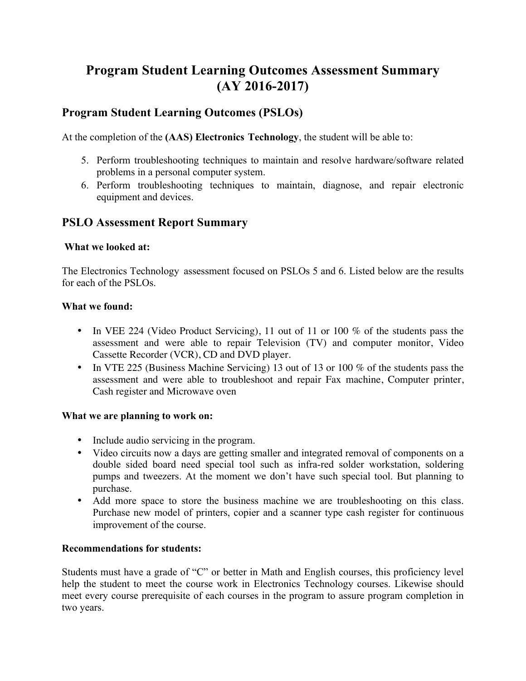# **Program Student Learning Outcomes Assessment Summary (AY 2016-2017)**

### **Program Student Learning Outcomes (PSLOs)**

At the completion of the **(AAS) Electronics Technology**, the student will be able to:

- 5. Perform troubleshooting techniques to maintain and resolve hardware/software related problems in a personal computer system.
- 6. Perform troubleshooting techniques to maintain, diagnose, and repair electronic equipment and devices.

## **PSLO Assessment Report Summary**

#### **What we looked at:**

The Electronics Technology assessment focused on PSLOs 5 and 6. Listed below are the results for each of the PSLOs.

#### **What we found:**

- In VEE 224 (Video Product Servicing), 11 out of 11 or 100 % of the students pass the assessment and were able to repair Television (TV) and computer monitor, Video Cassette Recorder (VCR), CD and DVD player.
- In VTE 225 (Business Machine Servicing) 13 out of 13 or 100 % of the students pass the assessment and were able to troubleshoot and repair Fax machine, Computer printer, Cash register and Microwave oven

#### **What we are planning to work on:**

- Include audio servicing in the program.
- Video circuits now a days are getting smaller and integrated removal of components on a double sided board need special tool such as infra-red solder workstation, soldering pumps and tweezers. At the moment we don't have such special tool. But planning to purchase.
- Add more space to store the business machine we are troubleshooting on this class. Purchase new model of printers, copier and a scanner type cash register for continuous improvement of the course.

#### **Recommendations for students:**

Students must have a grade of "C" or better in Math and English courses, this proficiency level help the student to meet the course work in Electronics Technology courses. Likewise should meet every course prerequisite of each courses in the program to assure program completion in two years.